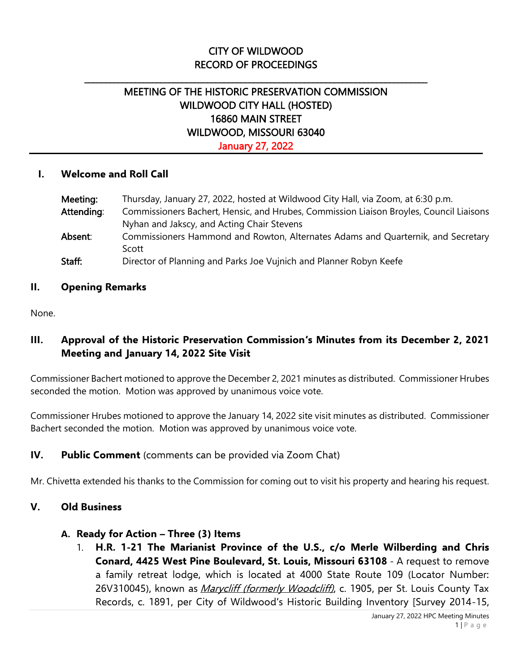# CITY OF WILDWOOD RECORD OF PROCEEDINGS

\_\_\_\_\_\_\_\_\_\_\_\_\_\_\_\_\_\_\_\_\_\_\_\_\_\_\_\_\_\_\_\_\_\_\_\_\_\_\_\_\_\_\_\_\_\_\_\_\_\_\_\_\_\_\_\_\_\_\_\_\_\_\_\_\_\_\_\_\_\_\_\_\_\_\_\_\_\_\_\_\_

# MEETING OF THE HISTORIC PRESERVATION COMMISSION WILDWOOD CITY HALL (HOSTED) 16860 MAIN STREET WILDWOOD, MISSOURI 63040 January 27, 2022

#### **I. Welcome and Roll Call**

| Meeting:   | Thursday, January 27, 2022, hosted at Wildwood City Hall, via Zoom, at 6:30 p.m.        |
|------------|-----------------------------------------------------------------------------------------|
| Attending: | Commissioners Bachert, Hensic, and Hrubes, Commission Liaison Broyles, Council Liaisons |
|            | Nyhan and Jakscy, and Acting Chair Stevens                                              |
| Absent:    | Commissioners Hammond and Rowton, Alternates Adams and Quarternik, and Secretary        |
|            | Scott                                                                                   |
| Staff:     | Director of Planning and Parks Joe Vujnich and Planner Robyn Keefe                      |

#### **II. Opening Remarks**

None.

## **III. Approval of the Historic Preservation Commission's Minutes from its December 2, 2021 Meeting and January 14, 2022 Site Visit**

Commissioner Bachert motioned to approve the December 2, 2021 minutes as distributed. Commissioner Hrubes seconded the motion. Motion was approved by unanimous voice vote.

Commissioner Hrubes motioned to approve the January 14, 2022 site visit minutes as distributed. Commissioner Bachert seconded the motion. Motion was approved by unanimous voice vote.

### **IV. Public Comment** (comments can be provided via Zoom Chat)

Mr. Chivetta extended his thanks to the Commission for coming out to visit his property and hearing his request.

#### **V. Old Business**

#### **A. Ready for Action – Three (3) Items**

1. **H.R. 1-21 The Marianist Province of the U.S., c/o Merle Wilberding and Chris Conard, 4425 West Pine Boulevard, St. Louis, Missouri 63108** - A request to remove a family retreat lodge, which is located at 4000 State Route 109 (Locator Number: 26V310045), known as *Marycliff (formerly Woodcliff)*, c. 1905, per St. Louis County Tax Records, c. 1891, per City of Wildwood's Historic Building Inventory [Survey 2014-15,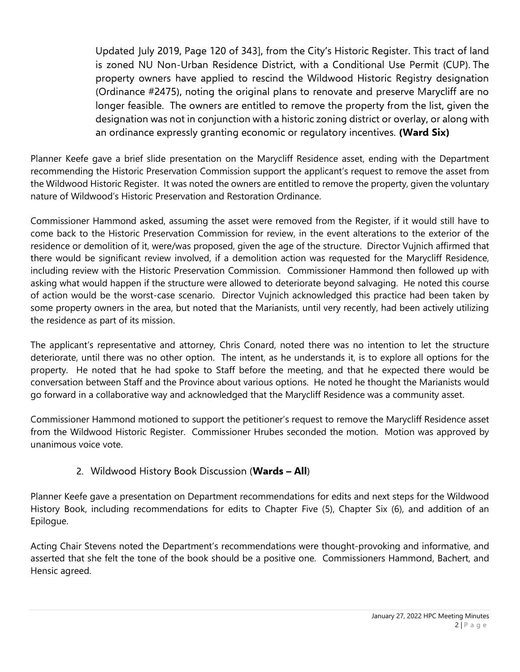Updated July 2019, Page 120 of 343], from the City's Historic Register. This tract of land is zoned NU Non-Urban Residence District, with a Conditional Use Permit (CUP). The property owners have applied to rescind the Wildwood Historic Registry designation (Ordinance #2475), noting the original plans to renovate and preserve Marycliff are no longer feasible. The owners are entitled to remove the property from the list, given the designation was not in conjunction with a historic zoning district or overlay, or along with an ordinance expressly granting economic or regulatory incentives. **(Ward Six)**

Planner Keefe gave a brief slide presentation on the Marycliff Residence asset, ending with the Department recommending the Historic Preservation Commission support the applicant's request to remove the asset from the Wildwood Historic Register. It was noted the owners are entitled to remove the property, given the voluntary nature of Wildwood's Historic Preservation and Restoration Ordinance.

Commissioner Hammond asked, assuming the asset were removed from the Register, if it would still have to come back to the Historic Preservation Commission for review, in the event alterations to the exterior of the residence or demolition of it, were/was proposed, given the age of the structure. Director Vujnich affirmed that there would be significant review involved, if a demolition action was requested for the Marycliff Residence, including review with the Historic Preservation Commission. Commissioner Hammond then followed up with asking what would happen if the structure were allowed to deteriorate beyond salvaging. He noted this course of action would be the worst-case scenario. Director Vujnich acknowledged this practice had been taken by some property owners in the area, but noted that the Marianists, until very recently, had been actively utilizing the residence as part of its mission.

The applicant's representative and attorney, Chris Conard, noted there was no intention to let the structure deteriorate, until there was no other option. The intent, as he understands it, is to explore all options for the property. He noted that he had spoke to Staff before the meeting, and that he expected there would be conversation between Staff and the Province about various options. He noted he thought the Marianists would go forward in a collaborative way and acknowledged that the Marycliff Residence was a community asset.

Commissioner Hammond motioned to support the petitioner's request to remove the Marycliff Residence asset from the Wildwood Historic Register. Commissioner Hrubes seconded the motion. Motion was approved by unanimous voice vote.

# 2. Wildwood History Book Discussion (**Wards – All**)

Planner Keefe gave a presentation on Department recommendations for edits and next steps for the Wildwood History Book, including recommendations for edits to Chapter Five (5), Chapter Six (6), and addition of an Epilogue.

Acting Chair Stevens noted the Department's recommendations were thought-provoking and informative, and asserted that she felt the tone of the book should be a positive one. Commissioners Hammond, Bachert, and Hensic agreed.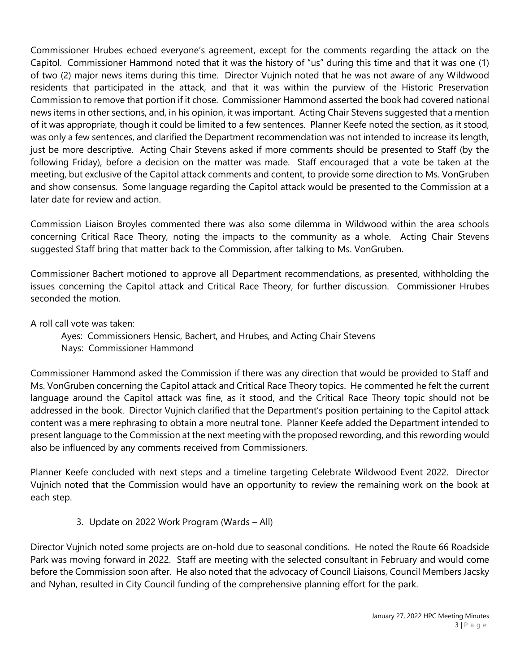Commissioner Hrubes echoed everyone's agreement, except for the comments regarding the attack on the Capitol. Commissioner Hammond noted that it was the history of "us" during this time and that it was one (1) of two (2) major news items during this time. Director Vujnich noted that he was not aware of any Wildwood residents that participated in the attack, and that it was within the purview of the Historic Preservation Commission to remove that portion if it chose. Commissioner Hammond asserted the book had covered national news items in other sections, and, in his opinion, it was important. Acting Chair Stevens suggested that a mention of it was appropriate, though it could be limited to a few sentences. Planner Keefe noted the section, as it stood, was only a few sentences, and clarified the Department recommendation was not intended to increase its length, just be more descriptive. Acting Chair Stevens asked if more comments should be presented to Staff (by the following Friday), before a decision on the matter was made. Staff encouraged that a vote be taken at the meeting, but exclusive of the Capitol attack comments and content, to provide some direction to Ms. VonGruben and show consensus. Some language regarding the Capitol attack would be presented to the Commission at a later date for review and action.

Commission Liaison Broyles commented there was also some dilemma in Wildwood within the area schools concerning Critical Race Theory, noting the impacts to the community as a whole. Acting Chair Stevens suggested Staff bring that matter back to the Commission, after talking to Ms. VonGruben.

Commissioner Bachert motioned to approve all Department recommendations, as presented, withholding the issues concerning the Capitol attack and Critical Race Theory, for further discussion. Commissioner Hrubes seconded the motion.

A roll call vote was taken:

Ayes: Commissioners Hensic, Bachert, and Hrubes, and Acting Chair Stevens

Nays: Commissioner Hammond

Commissioner Hammond asked the Commission if there was any direction that would be provided to Staff and Ms. VonGruben concerning the Capitol attack and Critical Race Theory topics. He commented he felt the current language around the Capitol attack was fine, as it stood, and the Critical Race Theory topic should not be addressed in the book. Director Vujnich clarified that the Department's position pertaining to the Capitol attack content was a mere rephrasing to obtain a more neutral tone. Planner Keefe added the Department intended to present language to the Commission at the next meeting with the proposed rewording, and this rewording would also be influenced by any comments received from Commissioners.

Planner Keefe concluded with next steps and a timeline targeting Celebrate Wildwood Event 2022. Director Vujnich noted that the Commission would have an opportunity to review the remaining work on the book at each step.

### 3. Update on 2022 Work Program (Wards – All)

Director Vujnich noted some projects are on-hold due to seasonal conditions. He noted the Route 66 Roadside Park was moving forward in 2022. Staff are meeting with the selected consultant in February and would come before the Commission soon after. He also noted that the advocacy of Council Liaisons, Council Members Jacsky and Nyhan, resulted in City Council funding of the comprehensive planning effort for the park.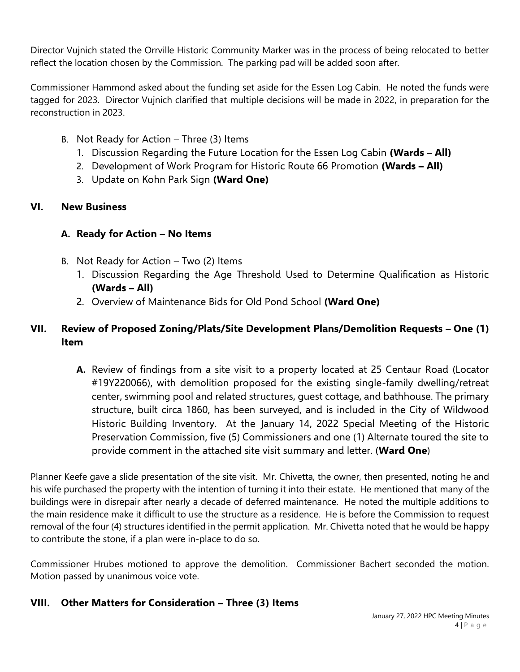Director Vujnich stated the Orrville Historic Community Marker was in the process of being relocated to better reflect the location chosen by the Commission. The parking pad will be added soon after.

Commissioner Hammond asked about the funding set aside for the Essen Log Cabin. He noted the funds were tagged for 2023. Director Vujnich clarified that multiple decisions will be made in 2022, in preparation for the reconstruction in 2023.

- B. Not Ready for Action Three (3) Items
	- 1. Discussion Regarding the Future Location for the Essen Log Cabin **(Wards – All)**
	- 2. Development of Work Program for Historic Route 66 Promotion **(Wards – All)**
	- 3. Update on Kohn Park Sign **(Ward One)**

### **VI. New Business**

# **A. Ready for Action – No Items**

- B. Not Ready for Action Two (2) Items
	- 1. Discussion Regarding the Age Threshold Used to Determine Qualification as Historic **(Wards – All)**
	- 2. Overview of Maintenance Bids for Old Pond School **(Ward One)**

# **VII. Review of Proposed Zoning/Plats/Site Development Plans/Demolition Requests – One (1) Item**

**A.** Review of findings from a site visit to a property located at 25 Centaur Road (Locator #19Y220066), with demolition proposed for the existing single-family dwelling/retreat center, swimming pool and related structures, guest cottage, and bathhouse. The primary structure, built circa 1860, has been surveyed, and is included in the City of Wildwood Historic Building Inventory. At the January 14, 2022 Special Meeting of the Historic Preservation Commission, five (5) Commissioners and one (1) Alternate toured the site to provide comment in the attached site visit summary and letter. (**Ward One**)

Planner Keefe gave a slide presentation of the site visit. Mr. Chivetta, the owner, then presented, noting he and his wife purchased the property with the intention of turning it into their estate. He mentioned that many of the buildings were in disrepair after nearly a decade of deferred maintenance. He noted the multiple additions to the main residence make it difficult to use the structure as a residence. He is before the Commission to request removal of the four (4) structures identified in the permit application. Mr. Chivetta noted that he would be happy to contribute the stone, if a plan were in-place to do so.

Commissioner Hrubes motioned to approve the demolition. Commissioner Bachert seconded the motion. Motion passed by unanimous voice vote.

# **VIII. Other Matters for Consideration – Three (3) Items**